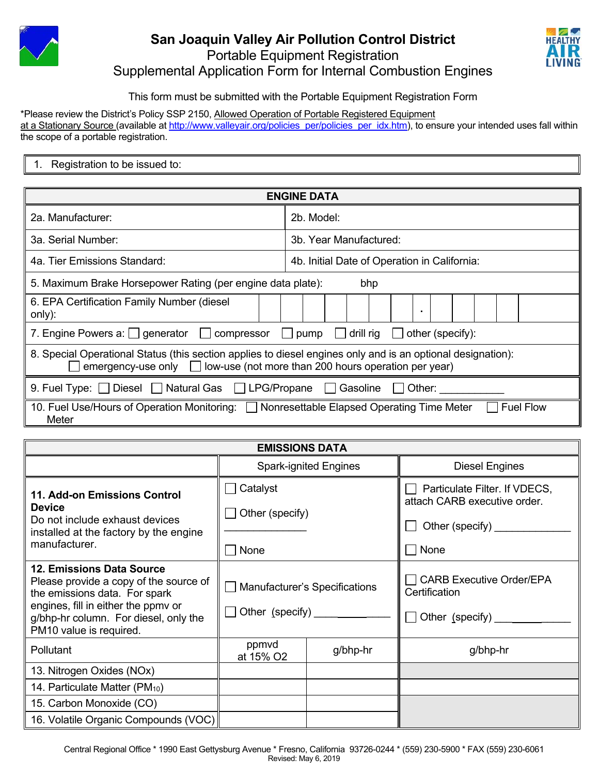



## This form must be submitted with the Portable Equipment Registration Form

\*Please review the District's Policy SSP 2150, Allowed Operation of Portable Registered Equipment at a Stationary Source (available at http://www.valleyair.org/policies\_per/policies\_per\_idx.htm), to ensure your intended uses fall within the scope of a portable registration.

| issued to:<br>Registration to<br>be |  |  |  |  |
|-------------------------------------|--|--|--|--|
|-------------------------------------|--|--|--|--|

| <b>ENGINE DATA</b>                                                                                                                                                                            |                                              |  |  |  |
|-----------------------------------------------------------------------------------------------------------------------------------------------------------------------------------------------|----------------------------------------------|--|--|--|
| 2a. Manufacturer:                                                                                                                                                                             | 2b. Model:                                   |  |  |  |
| 3a. Serial Number:                                                                                                                                                                            | 3b. Year Manufactured:                       |  |  |  |
| 4a. Tier Emissions Standard:                                                                                                                                                                  | 4b. Initial Date of Operation in California: |  |  |  |
| 5. Maximum Brake Horsepower Rating (per engine data plate):<br>bhp                                                                                                                            |                                              |  |  |  |
| 6. EPA Certification Family Number (diesel<br>only):                                                                                                                                          | $\blacksquare$                               |  |  |  |
| 7. Engine Powers a: $\bigcup$ generator $\bigcup$ compressor $\bigcup$ pump $\bigcup$ drill rig $\bigcup$<br>other (specify):                                                                 |                                              |  |  |  |
| 8. Special Operational Status (this section applies to diesel engines only and is an optional designation):<br>emergency-use only $\Box$ low-use (not more than 200 hours operation per year) |                                              |  |  |  |
| 9. Fuel Type: Diesel Natural Gas LPG/Propane Gasoline U Other:                                                                                                                                |                                              |  |  |  |
| <b>Fuel Flow</b><br>10. Fuel Use/Hours of Operation Monitoring:   Nonresettable Elapsed Operating Time Meter<br>Meter                                                                         |                                              |  |  |  |

| <b>EMISSIONS DATA</b>                                                                                                                                                                                           |                                                        |          |                                                                                          |  |  |  |
|-----------------------------------------------------------------------------------------------------------------------------------------------------------------------------------------------------------------|--------------------------------------------------------|----------|------------------------------------------------------------------------------------------|--|--|--|
|                                                                                                                                                                                                                 | <b>Spark-ignited Engines</b>                           |          | <b>Diesel Engines</b>                                                                    |  |  |  |
| 11. Add-on Emissions Control<br><b>Device</b><br>Do not include exhaust devices<br>installed at the factory by the engine<br>manufacturer.                                                                      | Catalyst<br>Other (specify)<br>None                    |          | Particulate Filter. If VDECS,<br>attach CARB executive order.<br>Other (specify)<br>None |  |  |  |
| 12. Emissions Data Source<br>Please provide a copy of the source of<br>the emissions data. For spark<br>engines, fill in either the ppmv or<br>g/bhp-hr column. For diesel, only the<br>PM10 value is required. | Manufacturer's Specifications<br>Other (specify) _____ |          | <b>CARB Executive Order/EPA</b><br>Certification<br>Other (specify)                      |  |  |  |
| <b>Pollutant</b>                                                                                                                                                                                                | ppmvd<br>at 15% O2                                     | g/bhp-hr | g/bhp-hr                                                                                 |  |  |  |
| 13. Nitrogen Oxides (NOx)                                                                                                                                                                                       |                                                        |          |                                                                                          |  |  |  |
| 14. Particulate Matter (PM <sub>10</sub> )                                                                                                                                                                      |                                                        |          |                                                                                          |  |  |  |
| 15. Carbon Monoxide (CO)                                                                                                                                                                                        |                                                        |          |                                                                                          |  |  |  |
| 16. Volatile Organic Compounds (VOC)                                                                                                                                                                            |                                                        |          |                                                                                          |  |  |  |